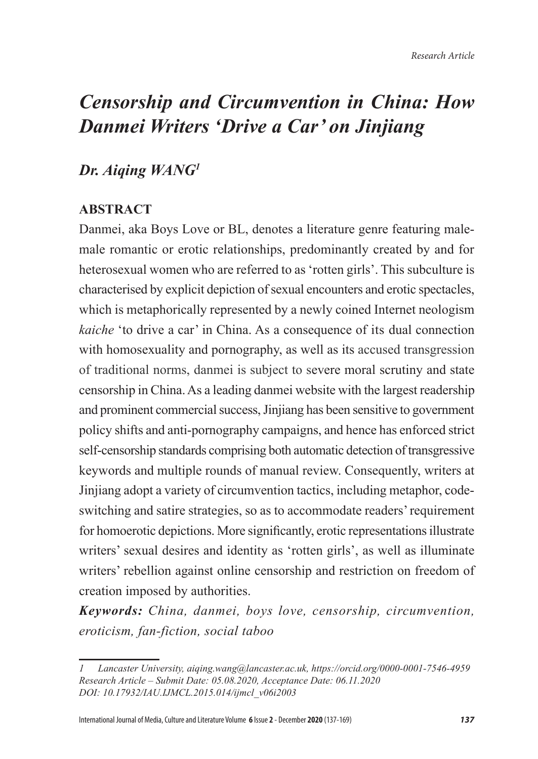# *Censorship and Circumvention in China: How Danmei Writers 'Drive a Car' on Jinjiang*

# *Dr. Aiqing WANG<sup>1</sup>*

# **ABSTRACT**

Danmei, aka Boys Love or BL, denotes a literature genre featuring malemale romantic or erotic relationships, predominantly created by and for heterosexual women who are referred to as 'rotten girls'. This subculture is characterised by explicit depiction of sexual encounters and erotic spectacles, which is metaphorically represented by a newly coined Internet neologism *kaiche* 'to drive a car' in China. As a consequence of its dual connection with homosexuality and pornography, as well as its accused transgression of traditional norms, danmei is subject to severe moral scrutiny and state censorship in China. As a leading danmei website with the largest readership and prominent commercial success, Jinjiang has been sensitive to government policy shifts and anti-pornography campaigns, and hence has enforced strict self-censorship standards comprising both automatic detection of transgressive keywords and multiple rounds of manual review. Consequently, writers at Jinjiang adopt a variety of circumvention tactics, including metaphor, codeswitching and satire strategies, so as to accommodate readers' requirement for homoerotic depictions. More significantly, erotic representations illustrate writers' sexual desires and identity as 'rotten girls', as well as illuminate writers' rebellion against online censorship and restriction on freedom of creation imposed by authorities.

*Keywords: China, danmei, boys love, censorship, circumvention, eroticism, fan-fiction, social taboo* 

*<sup>1</sup> Lancaster University, aiqing.wang@lancaster.ac.uk, https://orcid.org/0000-0001-7546-4959 Research Article – Submit Date: 05.08.2020, Acceptance Date: 06.11.2020 DOI: 10.17932/IAU.IJMCL.2015.014/ijmcl\_v06i2003*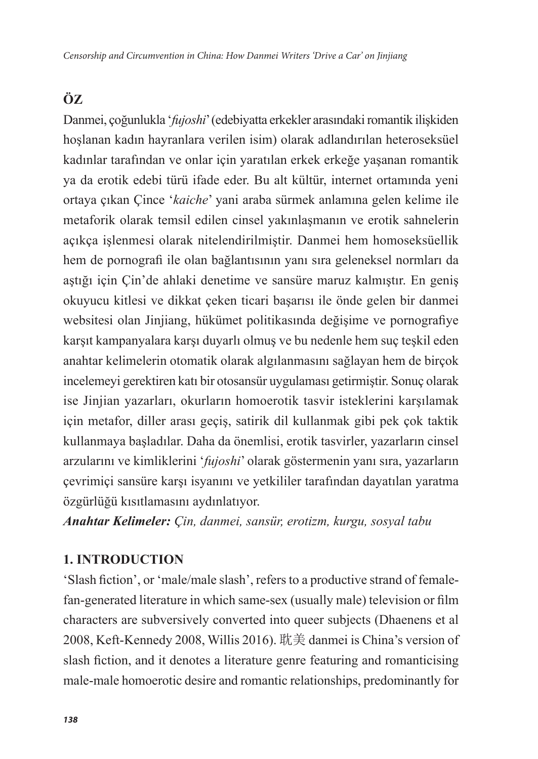# **ÖZ**

Danmei, çoğunlukla '*fujoshi*' (edebiyatta erkekler arasındaki romantik ilişkiden hoşlanan kadın hayranlara verilen isim) olarak adlandırılan heteroseksüel kadınlar tarafından ve onlar için yaratılan erkek erkeğe yaşanan romantik ya da erotik edebi türü ifade eder. Bu alt kültür, internet ortamında yeni ortaya çıkan Çince '*kaiche*' yani araba sürmek anlamına gelen kelime ile metaforik olarak temsil edilen cinsel yakınlaşmanın ve erotik sahnelerin açıkça işlenmesi olarak nitelendirilmiştir. Danmei hem homoseksüellik hem de pornografi ile olan bağlantısının yanı sıra geleneksel normları da aştığı için Çin'de ahlaki denetime ve sansüre maruz kalmıştır. En geniş okuyucu kitlesi ve dikkat çeken ticari başarısı ile önde gelen bir danmei websitesi olan Jinjiang, hükümet politikasında değişime ve pornografiye karşıt kampanyalara karşı duyarlı olmuş ve bu nedenle hem suç teşkil eden anahtar kelimelerin otomatik olarak algılanmasını sağlayan hem de birçok incelemeyi gerektiren katı bir otosansür uygulaması getirmiştir. Sonuç olarak ise Jinjian yazarları, okurların homoerotik tasvir isteklerini karşılamak için metafor, diller arası geçiş, satirik dil kullanmak gibi pek çok taktik kullanmaya başladılar. Daha da önemlisi, erotik tasvirler, yazarların cinsel arzularını ve kimliklerini '*fujoshi*' olarak göstermenin yanı sıra, yazarların çevrimiçi sansüre karşı isyanını ve yetkililer tarafından dayatılan yaratma özgürlüğü kısıtlamasını aydınlatıyor.

*Anahtar Kelimeler: Çin, danmei, sansür, erotizm, kurgu, sosyal tabu*

# **1. INTRODUCTION**

'Slash fiction', or 'male/male slash', refers to a productive strand of femalefan-generated literature in which same-sex (usually male) television or film characters are subversively converted into queer subjects (Dhaenens et al 2008, Keft-Kennedy 2008, Willis 2016). 耽美 danmei is China's version of slash fiction, and it denotes a literature genre featuring and romanticising male-male homoerotic desire and romantic relationships, predominantly for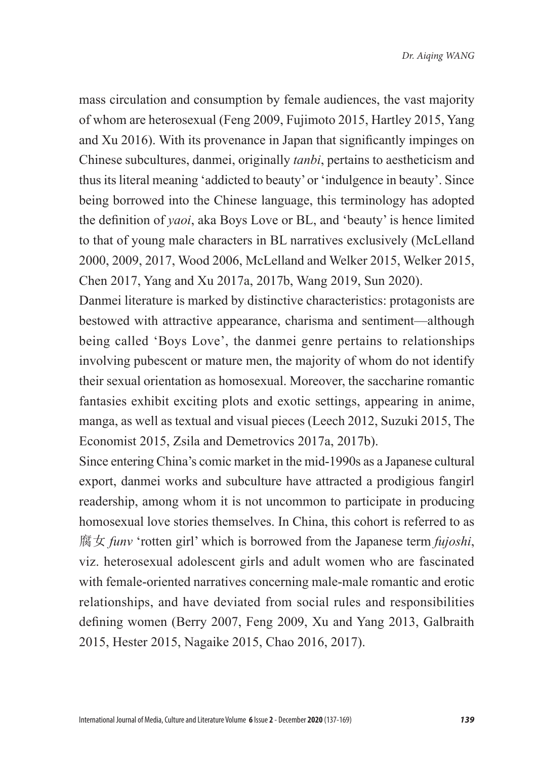mass circulation and consumption by female audiences, the vast majority of whom are heterosexual (Feng 2009, Fujimoto 2015, Hartley 2015, Yang and Xu 2016). With its provenance in Japan that significantly impinges on Chinese subcultures, danmei, originally *tanbi*, pertains to aestheticism and thus its literal meaning 'addicted to beauty' or 'indulgence in beauty'. Since being borrowed into the Chinese language, this terminology has adopted the definition of *yaoi*, aka Boys Love or BL, and 'beauty' is hence limited to that of young male characters in BL narratives exclusively (McLelland 2000, 2009, 2017, Wood 2006, McLelland and Welker 2015, Welker 2015, Chen 2017, Yang and Xu 2017a, 2017b, Wang 2019, Sun 2020).

Danmei literature is marked by distinctive characteristics: protagonists are bestowed with attractive appearance, charisma and sentiment—although being called 'Boys Love', the danmei genre pertains to relationships involving pubescent or mature men, the majority of whom do not identify their sexual orientation as homosexual. Moreover, the saccharine romantic fantasies exhibit exciting plots and exotic settings, appearing in anime, manga, as well as textual and visual pieces (Leech 2012, Suzuki 2015, The Economist 2015, Zsila and Demetrovics 2017a, 2017b).

Since entering China's comic market in the mid-1990s as a Japanese cultural export, danmei works and subculture have attracted a prodigious fangirl readership, among whom it is not uncommon to participate in producing homosexual love stories themselves. In China, this cohort is referred to as 腐女 *funv* 'rotten girl' which is borrowed from the Japanese term *fujoshi*, viz. heterosexual adolescent girls and adult women who are fascinated with female-oriented narratives concerning male-male romantic and erotic relationships, and have deviated from social rules and responsibilities defining women (Berry 2007, Feng 2009, Xu and Yang 2013, Galbraith 2015, Hester 2015, Nagaike 2015, Chao 2016, 2017).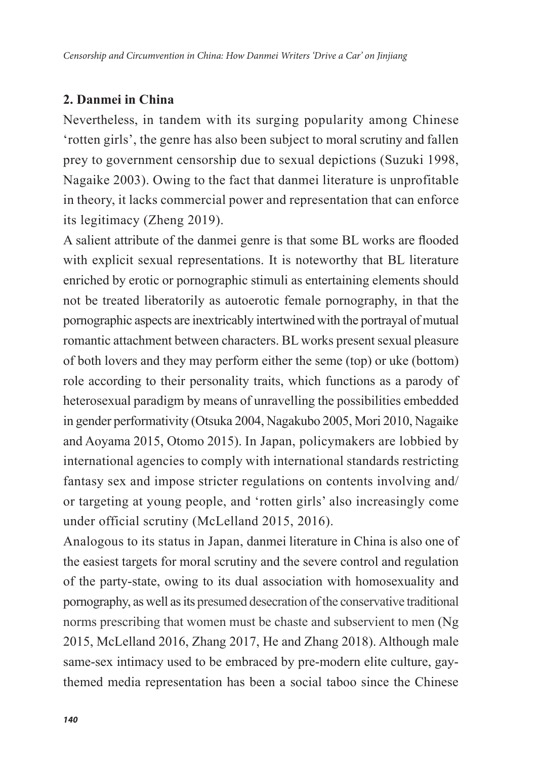# **2. Danmei in China**

Nevertheless, in tandem with its surging popularity among Chinese 'rotten girls', the genre has also been subject to moral scrutiny and fallen prey to government censorship due to sexual depictions (Suzuki 1998, Nagaike 2003). Owing to the fact that danmei literature is unprofitable in theory, it lacks commercial power and representation that can enforce its legitimacy (Zheng 2019).

A salient attribute of the danmei genre is that some BL works are flooded with explicit sexual representations. It is noteworthy that BL literature enriched by erotic or pornographic stimuli as entertaining elements should not be treated liberatorily as autoerotic female pornography, in that the pornographic aspects are inextricably intertwined with the portrayal of mutual romantic attachment between characters. BL works present sexual pleasure of both lovers and they may perform either the seme (top) or uke (bottom) role according to their personality traits, which functions as a parody of heterosexual paradigm by means of unravelling the possibilities embedded in gender performativity (Otsuka 2004, Nagakubo 2005, Mori 2010, Nagaike and Aoyama 2015, Otomo 2015). In Japan, policymakers are lobbied by international agencies to comply with international standards restricting fantasy sex and impose stricter regulations on contents involving and/ or targeting at young people, and 'rotten girls' also increasingly come under official scrutiny (McLelland 2015, 2016).

Analogous to its status in Japan, danmei literature in China is also one of the easiest targets for moral scrutiny and the severe control and regulation of the party-state, owing to its dual association with homosexuality and pornography, as well as its presumed desecration of the conservative traditional norms prescribing that women must be chaste and subservient to men (Ng 2015, McLelland 2016, Zhang 2017, He and Zhang 2018). Although male same-sex intimacy used to be embraced by pre-modern elite culture, gaythemed media representation has been a social taboo since the Chinese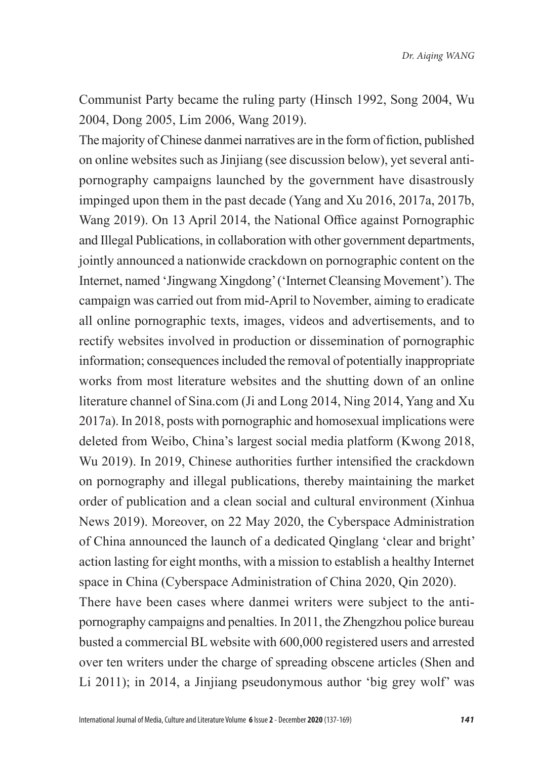*Dr. Aiqing WANG*

Communist Party became the ruling party (Hinsch 1992, Song 2004, Wu 2004, Dong 2005, Lim 2006, Wang 2019).

The majority of Chinese danmei narratives are in the form of fiction, published on online websites such as Jinjiang (see discussion below), yet several antipornography campaigns launched by the government have disastrously impinged upon them in the past decade (Yang and Xu 2016, 2017a, 2017b, Wang 2019). On 13 April 2014, the National Office against Pornographic and Illegal Publications, in collaboration with other government departments, jointly announced a nationwide crackdown on pornographic content on the Internet, named 'Jingwang Xingdong' ('Internet Cleansing Movement'). The campaign was carried out from mid-April to November, aiming to eradicate all online pornographic texts, images, videos and advertisements, and to rectify websites involved in production or dissemination of pornographic information; consequences included the removal of potentially inappropriate works from most literature websites and the shutting down of an online literature channel of Sina.com (Ji and Long 2014, Ning 2014, Yang and Xu 2017a). In 2018, posts with pornographic and homosexual implications were deleted from Weibo, China's largest social media platform (Kwong 2018, Wu 2019). In 2019, Chinese authorities further intensified the crackdown on pornography and illegal publications, thereby maintaining the market order of publication and a clean social and cultural environment (Xinhua News 2019). Moreover, on 22 May 2020, the Cyberspace Administration of China announced the launch of a dedicated Qinglang 'clear and bright' action lasting for eight months, with a mission to establish a healthy Internet space in China (Cyberspace Administration of China 2020, Qin 2020).

There have been cases where danmei writers were subject to the antipornography campaigns and penalties. In 2011, the Zhengzhou police bureau busted a commercial BL website with 600,000 registered users and arrested over ten writers under the charge of spreading obscene articles (Shen and Li 2011); in 2014, a Jinjiang pseudonymous author 'big grey wolf' was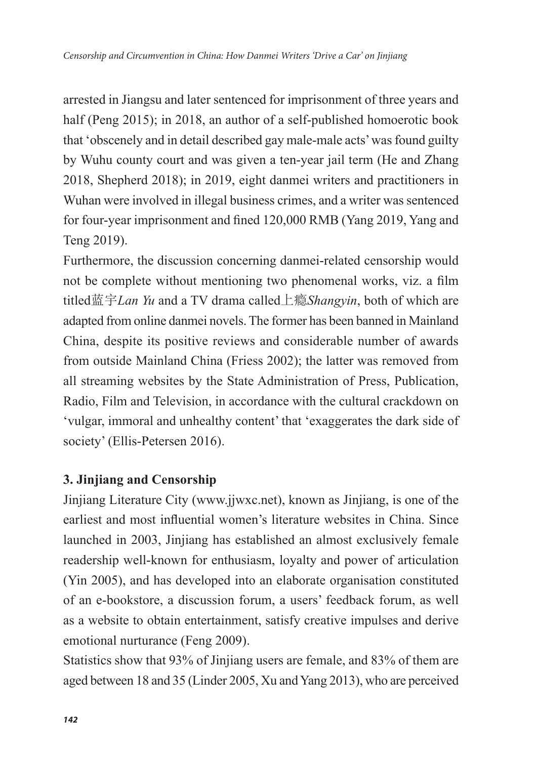arrested in Jiangsu and later sentenced for imprisonment of three years and half (Peng 2015); in 2018, an author of a self-published homoerotic book that 'obscenely and in detail described gay male-male acts' was found guilty by Wuhu county court and was given a ten-year jail term (He and Zhang 2018, Shepherd 2018); in 2019, eight danmei writers and practitioners in Wuhan were involved in illegal business crimes, and a writer was sentenced for four-year imprisonment and fined 120,000 RMB (Yang 2019, Yang and Teng 2019).

Furthermore, the discussion concerning danmei-related censorship would not be complete without mentioning two phenomenal works, viz. a film titled蓝宇*Lan Yu* and a TV drama called上瘾*Shangyin*, both of which are adapted from online danmei novels. The former has been banned in Mainland China, despite its positive reviews and considerable number of awards from outside Mainland China (Friess 2002); the latter was removed from all streaming websites by the State Administration of Press, Publication, Radio, Film and Television, in accordance with the cultural crackdown on 'vulgar, immoral and unhealthy content' that 'exaggerates the dark side of society' (Ellis-Petersen 2016).

# **3. Jinjiang and Censorship**

Jinjiang Literature City (www.jjwxc.net), known as Jinjiang, is one of the earliest and most influential women's literature websites in China. Since launched in 2003, Jinjiang has established an almost exclusively female readership well-known for enthusiasm, loyalty and power of articulation (Yin 2005), and has developed into an elaborate organisation constituted of an e-bookstore, a discussion forum, a users' feedback forum, as well as a website to obtain entertainment, satisfy creative impulses and derive emotional nurturance (Feng 2009).

Statistics show that 93% of Jinjiang users are female, and 83% of them are aged between 18 and 35 (Linder 2005, Xu and Yang 2013), who are perceived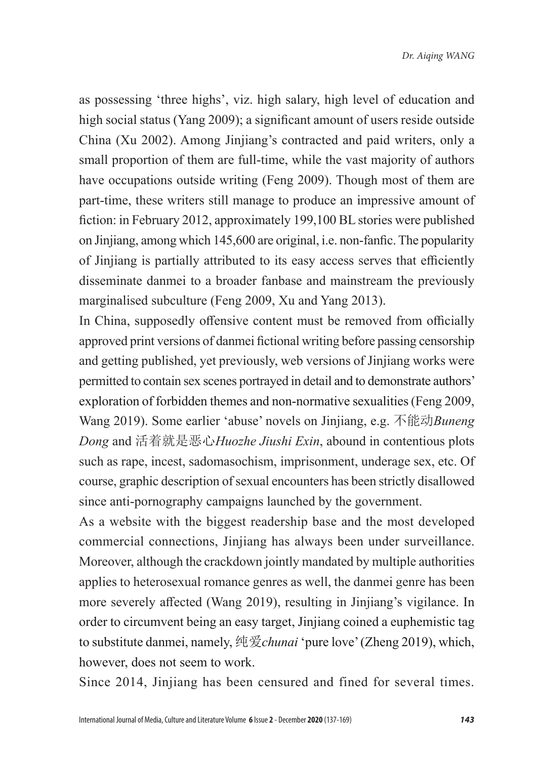as possessing 'three highs', viz. high salary, high level of education and high social status (Yang 2009); a significant amount of users reside outside China (Xu 2002). Among Jinjiang's contracted and paid writers, only a small proportion of them are full-time, while the vast majority of authors have occupations outside writing (Feng 2009). Though most of them are part-time, these writers still manage to produce an impressive amount of fiction: in February 2012, approximately 199,100 BL stories were published on Jinjiang, among which 145,600 are original, i.e. non-fanfic. The popularity of Jinjiang is partially attributed to its easy access serves that efficiently disseminate danmei to a broader fanbase and mainstream the previously marginalised subculture (Feng 2009, Xu and Yang 2013).

In China, supposedly offensive content must be removed from officially approved print versions of danmei fictional writing before passing censorship and getting published, yet previously, web versions of Jinjiang works were permitted to contain sex scenes portrayed in detail and to demonstrate authors' exploration of forbidden themes and non-normative sexualities (Feng 2009, Wang 2019). Some earlier 'abuse' novels on Jinjiang, e.g. 不能动*Buneng Dong* and 活着就是恶心*Huozhe Jiushi Exin*, abound in contentious plots such as rape, incest, sadomasochism, imprisonment, underage sex, etc. Of course, graphic description of sexual encounters has been strictly disallowed since anti-pornography campaigns launched by the government.

As a website with the biggest readership base and the most developed commercial connections, Jinjiang has always been under surveillance. Moreover, although the crackdown jointly mandated by multiple authorities applies to heterosexual romance genres as well, the danmei genre has been more severely affected (Wang 2019), resulting in Jinjiang's vigilance. In order to circumvent being an easy target, Jinjiang coined a euphemistic tag to substitute danmei, namely, 纯爱*chunai* 'pure love' (Zheng 2019), which, however, does not seem to work.

Since 2014, Jinjiang has been censured and fined for several times.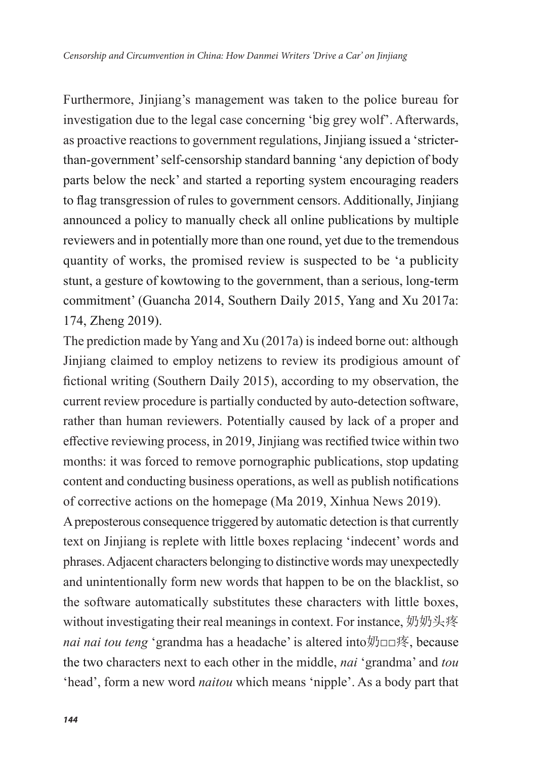Furthermore, Jinjiang's management was taken to the police bureau for investigation due to the legal case concerning 'big grey wolf'. Afterwards, as proactive reactions to government regulations, Jinjiang issued a 'stricterthan-government' self-censorship standard banning 'any depiction of body parts below the neck' and started a reporting system encouraging readers to flag transgression of rules to government censors. Additionally, Jinjiang announced a policy to manually check all online publications by multiple reviewers and in potentially more than one round, yet due to the tremendous quantity of works, the promised review is suspected to be 'a publicity stunt, a gesture of kowtowing to the government, than a serious, long-term commitment' (Guancha 2014, Southern Daily 2015, Yang and Xu 2017a: 174, Zheng 2019).

The prediction made by Yang and Xu (2017a) is indeed borne out: although Jinjiang claimed to employ netizens to review its prodigious amount of fictional writing (Southern Daily 2015), according to my observation, the current review procedure is partially conducted by auto-detection software, rather than human reviewers. Potentially caused by lack of a proper and effective reviewing process, in 2019, Jinjiang was rectified twice within two months: it was forced to remove pornographic publications, stop updating content and conducting business operations, as well as publish notifications of corrective actions on the homepage (Ma 2019, Xinhua News 2019).

A preposterous consequence triggered by automatic detection is that currently text on Jinjiang is replete with little boxes replacing 'indecent' words and phrases. Adjacent characters belonging to distinctive words may unexpectedly and unintentionally form new words that happen to be on the blacklist, so the software automatically substitutes these characters with little boxes, without investigating their real meanings in context. For instance, 奶奶头疼 *nai nai tou teng* 'grandma has a headache' is altered into奶□□疼, because the two characters next to each other in the middle, *nai* 'grandma' and *tou*  'head', form a new word *naitou* which means 'nipple'. As a body part that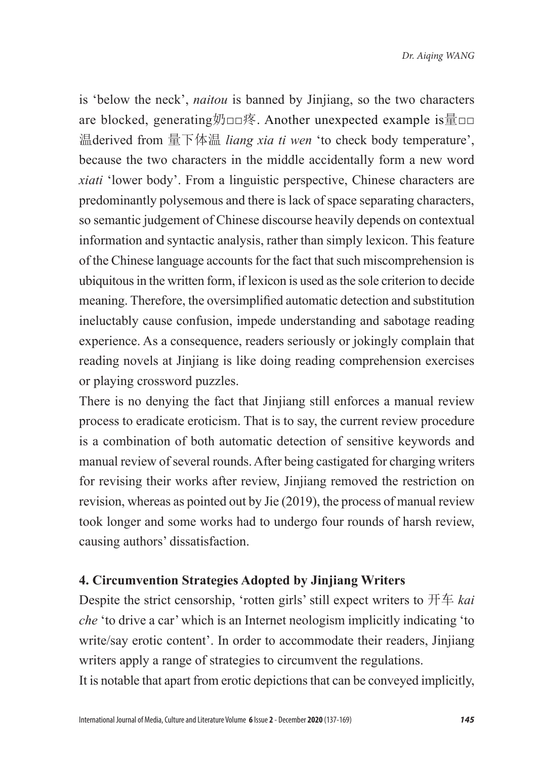is 'below the neck', *naitou* is banned by Jinjiang, so the two characters are blocked, generating奶□□疼. Another unexpected example is量□□ 温derived from 量下体温 *liang xia ti wen* 'to check body temperature', because the two characters in the middle accidentally form a new word *xiati* 'lower body'. From a linguistic perspective, Chinese characters are predominantly polysemous and there is lack of space separating characters, so semantic judgement of Chinese discourse heavily depends on contextual information and syntactic analysis, rather than simply lexicon. This feature of the Chinese language accounts for the fact that such miscomprehension is ubiquitous in the written form, if lexicon is used as the sole criterion to decide meaning. Therefore, the oversimplified automatic detection and substitution ineluctably cause confusion, impede understanding and sabotage reading experience. As a consequence, readers seriously or jokingly complain that reading novels at Jinjiang is like doing reading comprehension exercises or playing crossword puzzles.

There is no denying the fact that Jinjiang still enforces a manual review process to eradicate eroticism. That is to say, the current review procedure is a combination of both automatic detection of sensitive keywords and manual review of several rounds. After being castigated for charging writers for revising their works after review, Jinjiang removed the restriction on revision, whereas as pointed out by Jie (2019), the process of manual review took longer and some works had to undergo four rounds of harsh review, causing authors' dissatisfaction.

#### **4. Circumvention Strategies Adopted by Jinjiang Writers**

Despite the strict censorship, 'rotten girls' still expect writers to 开车 *kai che* 'to drive a car' which is an Internet neologism implicitly indicating 'to write/say erotic content'. In order to accommodate their readers, Jinjiang writers apply a range of strategies to circumvent the regulations.

It is notable that apart from erotic depictions that can be conveyed implicitly,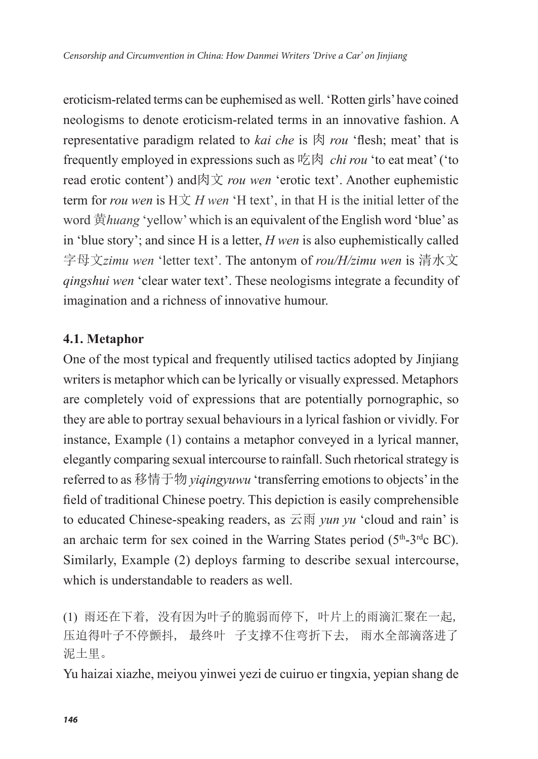eroticism-related terms can be euphemised as well. 'Rotten girls' have coined neologisms to denote eroticism-related terms in an innovative fashion. A representative paradigm related to *kai che* is 肉 *rou* 'flesh; meat' that is frequently employed in expressions such as 吃肉 *chi rou* 'to eat meat' ('to read erotic content') and肉文 *rou wen* 'erotic text'. Another euphemistic term for *rou wen* is  $H \nsubseteq H$  *wen*  $H$  text', in that H is the initial letter of the word 黄*huang* 'yellow' which is an equivalent of the English word 'blue' as in 'blue story'; and since H is a letter, *H wen* is also euphemistically called 字母文*zimu wen* 'letter text'. The antonym of *rou/H/zimu wen* is 清水文 *qingshui wen* 'clear water text'. These neologisms integrate a fecundity of imagination and a richness of innovative humour.

### **4.1. Metaphor**

One of the most typical and frequently utilised tactics adopted by Jinjiang writers is metaphor which can be lyrically or visually expressed. Metaphors are completely void of expressions that are potentially pornographic, so they are able to portray sexual behaviours in a lyrical fashion or vividly. For instance, Example (1) contains a metaphor conveyed in a lyrical manner, elegantly comparing sexual intercourse to rainfall. Such rhetorical strategy is referred to as 移情于物 *yiqingyuwu* 'transferring emotions to objects' in the field of traditional Chinese poetry. This depiction is easily comprehensible to educated Chinese-speaking readers, as 云雨 *yun yu* 'cloud and rain' is an archaic term for sex coined in the Warring States period  $(5<sup>th</sup>-3<sup>rd</sup>c BC)$ . Similarly, Example (2) deploys farming to describe sexual intercourse, which is understandable to readers as well.

(1) 雨还在下着, 没有因为叶子的脆弱而停下, 叶片上的雨滴汇聚在一起, 压迫得叶子不停颤抖, 最终叶 子支撑不住弯折下去, 雨水全部滴落进了 泥土里。

Yu haizai xiazhe, meiyou yinwei yezi de cuiruo er tingxia, yepian shang de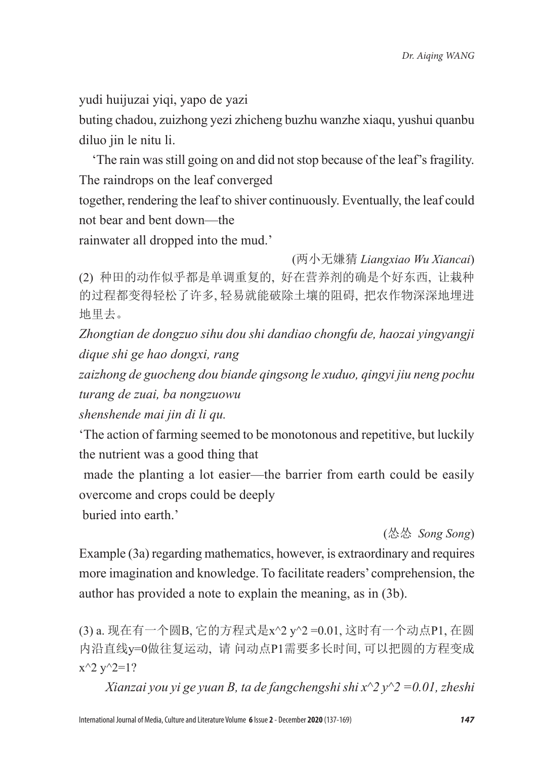yudi huijuzai yiqi, yapo de yazi

buting chadou, zuizhong yezi zhicheng buzhu wanzhe xiaqu, yushui quanbu diluo jin le nitu li.

 'The rain was still going on and did not stop because of the leaf's fragility. The raindrops on the leaf converged

together, rendering the leaf to shiver continuously. Eventually, the leaf could not bear and bent down—the

rainwater all dropped into the mud.'

(两小无嫌猜 *Liangxiao Wu Xiancai*) (2) 种田的动作似乎都是单调重复的, 好在营养剂的确是个好东西, 让栽种 的过程都变得轻松了许多, 轻易就能破除土壤的阻碍, 把农作物深深地埋进 地里去。

*Zhongtian de dongzuo sihu dou shi dandiao chongfu de, haozai yingyangji dique shi ge hao dongxi, rang* 

*zaizhong de guocheng dou biande qingsong le xuduo, qingyi jiu neng pochu turang de zuai, ba nongzuowu* 

*shenshende mai jin di li qu.*

'The action of farming seemed to be monotonous and repetitive, but luckily the nutrient was a good thing that

 made the planting a lot easier—the barrier from earth could be easily overcome and crops could be deeply

buried into earth.'

(怂怂 *Song Song*)

Example (3a) regarding mathematics, however, is extraordinary and requires more imagination and knowledge. To facilitate readers' comprehension, the author has provided a note to explain the meaning, as in (3b).

(3) a. 现在有一个圆B, 它的方程式是x^2 y^2 =0.01, 这时有一个动点P1, 在圆 内沿直线y=0做往复运动, 请 问动点P1需要多长时间, 可以把圆的方程变成  $x^2 y^2 = 1?$ 

*Xianzai you yi ge yuan B, ta de fangchengshi shi x^2 y^2 =0.01, zheshi*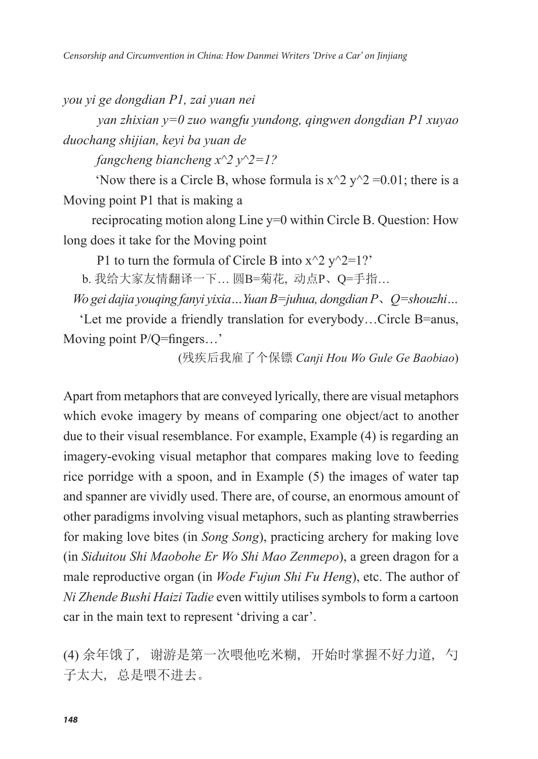*you yi ge dongdian P1, zai yuan nei* 

 *yan zhixian y=0 zuo wangfu yundong, qingwen dongdian P1 xuyao duochang shijian, keyi ba yuan de* 

 *fangcheng biancheng x^2 y^2=1?*

'Now there is a Circle B, whose formula is  $x^2 y^2 = 0.01$ ; there is a Moving point P1 that is making a

 reciprocating motion along Line y=0 within Circle B. Question: How long does it take for the Moving point

P1 to turn the formula of Circle B into  $x^2 y^2 = 1?$ 

b. 我给大家友情翻译一下… 圆B=菊花, 动点P、Q=手指…

*Wo gei dajia youqing fanyi yixia…Yuan B=juhua, dongdian P*、*Q=shouzhi…*

 'Let me provide a friendly translation for everybody…Circle B=anus, Moving point P/Q=fingers...'

(残疾后我雇了个保镖 *Canji Hou Wo Gule Ge Baobiao*)

Apart from metaphors that are conveyed lyrically, there are visual metaphors which evoke imagery by means of comparing one object/act to another due to their visual resemblance. For example, Example (4) is regarding an imagery-evoking visual metaphor that compares making love to feeding rice porridge with a spoon, and in Example (5) the images of water tap and spanner are vividly used. There are, of course, an enormous amount of other paradigms involving visual metaphors, such as planting strawberries for making love bites (in *Song Song*), practicing archery for making love (in *Siduitou Shi Maobohe Er Wo Shi Mao Zenmepo*), a green dragon for a male reproductive organ (in *Wode Fujun Shi Fu Heng*), etc. The author of *Ni Zhende Bushi Haizi Tadie* even wittily utilises symbols to form a cartoon car in the main text to represent 'driving a car'.

(4) 余年饿了, 谢游是第一次喂他吃米糊, 开始时掌握不好力道, 勺 子太大, 总是喂不进去。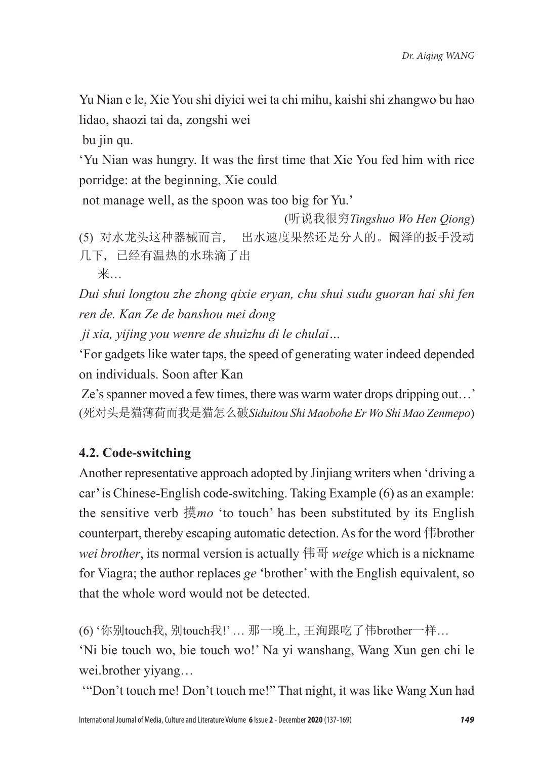Yu Nian e le, Xie You shi diyici wei ta chi mihu, kaishi shi zhangwo bu hao lidao, shaozi tai da, zongshi wei

bu jin qu.

'Yu Nian was hungry. It was the first time that Xie You fed him with rice porridge: at the beginning, Xie could

not manage well, as the spoon was too big for Yu.'

(听说我很穷*Tingshuo Wo Hen Qiong*) (5) 对水龙头这种器械而言, 出水速度果然还是分人的。阚泽的扳手没动 几下, 已经有温热的水珠滴了出

来…

*Dui shui longtou zhe zhong qixie eryan, chu shui sudu guoran hai shi fen ren de. Kan Ze de banshou mei dong* 

 *ji xia, yijing you wenre de shuizhu di le chulai…*

'For gadgets like water taps, the speed of generating water indeed depended on individuals. Soon after Kan

 Ze's spanner moved a few times, there was warm water drops dripping out…' (死对头是猫薄荷而我是猫怎么破*Siduitou Shi Maobohe Er Wo Shi Mao Zenmepo*)

# **4.2. Code-switching**

Another representative approach adopted by Jinjiang writers when 'driving a car' is Chinese-English code-switching. Taking Example (6) as an example: the sensitive verb 摸*mo* 'to touch' has been substituted by its English counterpart, thereby escaping automatic detection. As for the word 伟brother *wei brother*, its normal version is actually 伟哥 *weige* which is a nickname for Viagra; the author replaces *ge* 'brother' with the English equivalent, so that the whole word would not be detected.

(6) '你别touch我, 别touch我!' … 那一晚上, 王洵跟吃了伟brother一样…

'Ni bie touch wo, bie touch wo!' Na yi wanshang, Wang Xun gen chi le wei.brother yiyang…

'"Don't touch me! Don't touch me!" That night, it was like Wang Xun had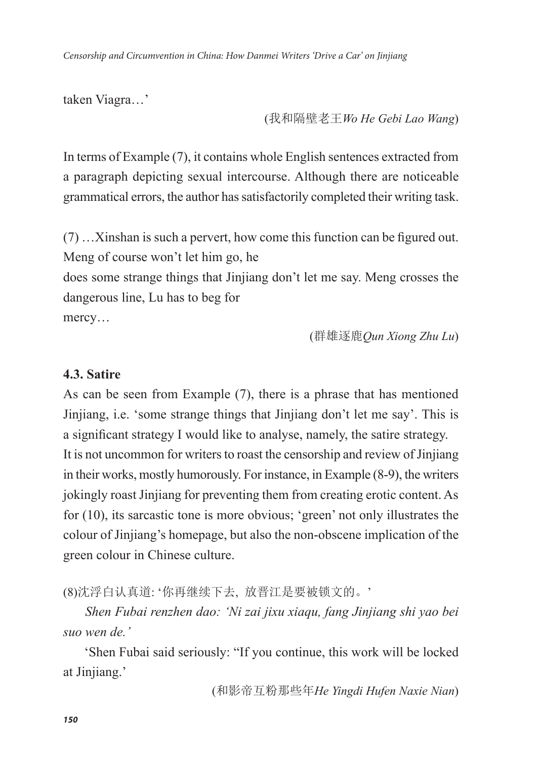*Censorship and Circumvention in China: How Danmei Writers 'Drive a Car' on Jinjiang*

taken Viagra…'

(我和隔壁老王*Wo He Gebi Lao Wang*)

In terms of Example (7), it contains whole English sentences extracted from a paragraph depicting sexual intercourse. Although there are noticeable grammatical errors, the author has satisfactorily completed their writing task.

(7) …Xinshan is such a pervert, how come this function can be figured out. Meng of course won't let him go, he

does some strange things that Jinjiang don't let me say. Meng crosses the dangerous line, Lu has to beg for

mercy…

(群雄逐鹿*Qun Xiong Zhu Lu*)

#### **4.3. Satire**

As can be seen from Example (7), there is a phrase that has mentioned Jinjiang, i.e. 'some strange things that Jinjiang don't let me say'. This is a significant strategy I would like to analyse, namely, the satire strategy. It is not uncommon for writers to roast the censorship and review of Jinjiang in their works, mostly humorously. For instance, in Example (8-9), the writers jokingly roast Jinjiang for preventing them from creating erotic content. As for (10), its sarcastic tone is more obvious; 'green' not only illustrates the colour of Jinjiang's homepage, but also the non-obscene implication of the green colour in Chinese culture.

(8)沈浮白认真道: '你再继续下去, 放晋江是要被锁文的。'

 *Shen Fubai renzhen dao: 'Ni zai jixu xiaqu, fang Jinjiang shi yao bei suo wen de.'*

 'Shen Fubai said seriously: "If you continue, this work will be locked at Jinjiang.'

(和影帝互粉那些年*He Yingdi Hufen Naxie Nian*)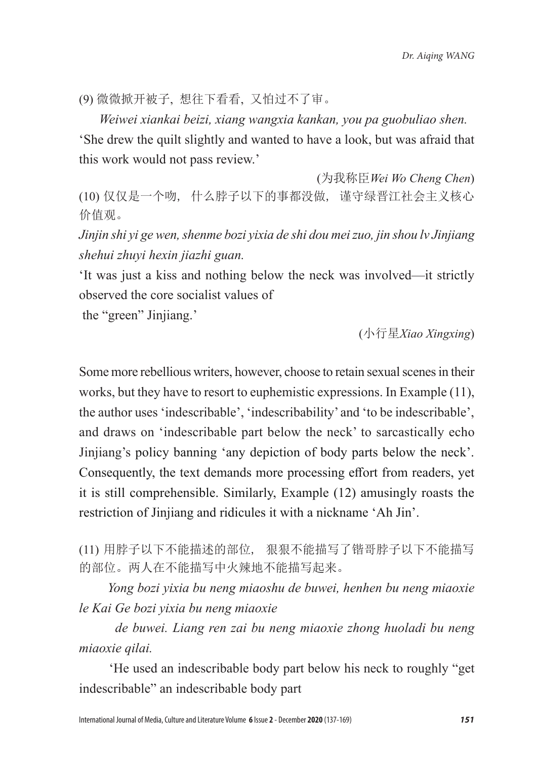(9) 微微掀开被子, 想往下看看, 又怕过不了审。

 *Weiwei xiankai beizi, xiang wangxia kankan, you pa guobuliao shen.* 'She drew the quilt slightly and wanted to have a look, but was afraid that this work would not pass review.'

(为我称臣*Wei Wo Cheng Chen*) (10) 仅仅是一个吻, 什么脖子以下的事都没做, 谨守绿晋江社会主义核心 价值观。

*Jinjin shi yi ge wen, shenme bozi yixia de shi dou mei zuo, jin shou lv Jinjiang shehui zhuyi hexin jiazhi guan.* 

'It was just a kiss and nothing below the neck was involved—it strictly observed the core socialist values of

the "green" Jinjiang.'

(小行星*Xiao Xingxing*)

Some more rebellious writers, however, choose to retain sexual scenes in their works, but they have to resort to euphemistic expressions. In Example (11), the author uses 'indescribable', 'indescribability' and 'to be indescribable', and draws on 'indescribable part below the neck' to sarcastically echo Jinjiang's policy banning 'any depiction of body parts below the neck'. Consequently, the text demands more processing effort from readers, yet it is still comprehensible. Similarly, Example (12) amusingly roasts the restriction of Jinjiang and ridicules it with a nickname 'Ah Jin'.

(11) 用脖子以下不能描述的部位, 狠狠不能描写了锴哥脖子以下不能描写 的部位。两人在不能描写中火辣地不能描写起来。

 *Yong bozi yixia bu neng miaoshu de buwei, henhen bu neng miaoxie le Kai Ge bozi yixia bu neng miaoxie* 

 *de buwei. Liang ren zai bu neng miaoxie zhong huoladi bu neng miaoxie qilai.*

 'He used an indescribable body part below his neck to roughly "get indescribable" an indescribable body part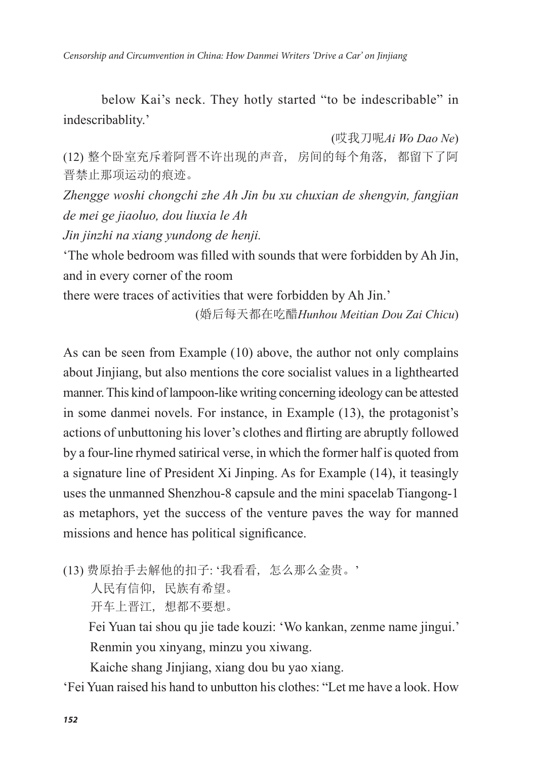below Kai's neck. They hotly started "to be indescribable" in indescribablity.'

(哎我刀呢*Ai Wo Dao Ne*) (12) 整个卧室充斥着阿晋不许出现的声音, 房间的每个角落, 都留下了阿 晋禁止那项运动的痕迹。

*Zhengge woshi chongchi zhe Ah Jin bu xu chuxian de shengyin, fangjian de mei ge jiaoluo, dou liuxia le Ah* 

*Jin jinzhi na xiang yundong de henji.* 

'The whole bedroom was filled with sounds that were forbidden by Ah Jin, and in every corner of the room

there were traces of activities that were forbidden by Ah Jin.'

(婚后每天都在吃醋*Hunhou Meitian Dou Zai Chicu*)

As can be seen from Example (10) above, the author not only complains about Jinjiang, but also mentions the core socialist values in a lighthearted manner. This kind of lampoon-like writing concerning ideology can be attested in some danmei novels. For instance, in Example (13), the protagonist's actions of unbuttoning his lover's clothes and flirting are abruptly followed by a four-line rhymed satirical verse, in which the former half is quoted from a signature line of President Xi Jinping. As for Example (14), it teasingly uses the unmanned Shenzhou-8 capsule and the mini spacelab Tiangong-1 as metaphors, yet the success of the venture paves the way for manned missions and hence has political significance.

(13) 费原抬手去解他的扣子: '我看看, 怎么那么金贵。'

人民有信仰, 民族有希望。

开车上晋江, 想都不要想。

 Fei Yuan tai shou qu jie tade kouzi: 'Wo kankan, zenme name jingui.' Renmin you xinyang, minzu you xiwang.

Kaiche shang Jinjiang, xiang dou bu yao xiang.

'Fei Yuan raised his hand to unbutton his clothes: "Let me have a look. How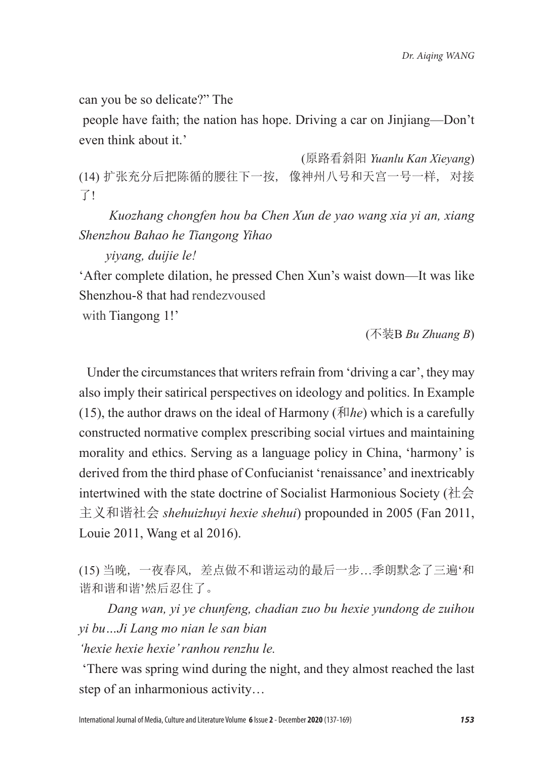can you be so delicate?" The

 people have faith; the nation has hope. Driving a car on Jinjiang—Don't even think about it.'

 (原路看斜阳 *Yuanlu Kan Xieyang*) (14) 扩张充分后把陈循的腰往下一按, 像神州八号和天宫一号一样, 对接 了!

 *Kuozhang chongfen hou ba Chen Xun de yao wang xia yi an, xiang Shenzhou Bahao he Tiangong Yihao* 

 *yiyang, duijie le!*

'After complete dilation, he pressed Chen Xun's waist down—It was like Shenzhou-8 that had rendezvoused

with Tiangong 1!'

(不装B *Bu Zhuang B*)

 Under the circumstances that writers refrain from 'driving a car', they may also imply their satirical perspectives on ideology and politics. In Example (15), the author draws on the ideal of Harmony ( $\bar{x}$ ) which is a carefully constructed normative complex prescribing social virtues and maintaining morality and ethics. Serving as a language policy in China, 'harmony' is derived from the third phase of Confucianist 'renaissance' and inextricably intertwined with the state doctrine of Socialist Harmonious Society (社会 主义和谐社会 *shehuizhuyi hexie shehui*) propounded in 2005 (Fan 2011, Louie 2011, Wang et al 2016).

(15) 当晚, 一夜春风, 差点做不和谐运动的最后一步…季朗默念了三遍'和 谐和谐和谐'然后忍住了。

 *Dang wan, yi ye chunfeng, chadian zuo bu hexie yundong de zuihou yi bu…Ji Lang mo nian le san bian* 

*'hexie hexie hexie' ranhou renzhu le.*

'There was spring wind during the night, and they almost reached the last step of an inharmonious activity…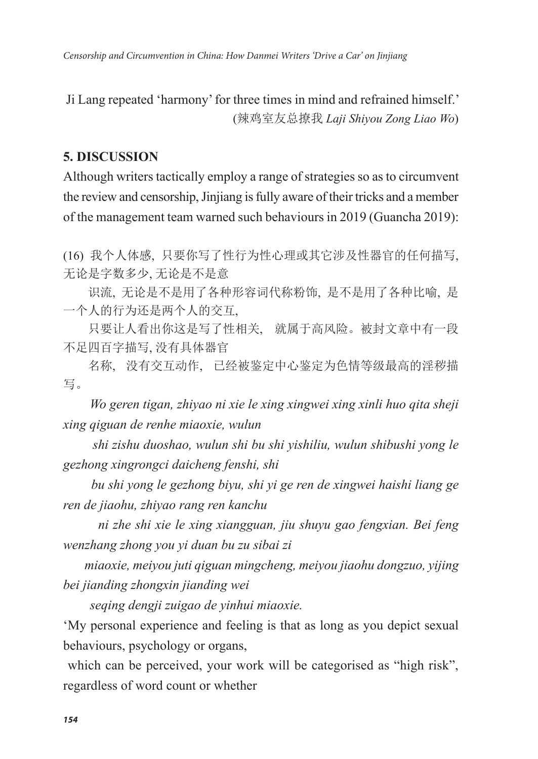Ji Lang repeated 'harmony' for three times in mind and refrained himself.' (辣鸡室友总撩我 *Laji Shiyou Zong Liao Wo*)

#### **5. DISCUSSION**

Although writers tactically employ a range of strategies so as to circumvent the review and censorship, Jinjiang is fully aware of their tricks and a member of the management team warned such behaviours in 2019 (Guancha 2019):

(16) 我个人体感, 只要你写了性行为性心理或其它涉及性器官的任何描写, 无论是字数多少, 无论是不是意

识流, 无论是不是用了各种形容词代称粉饰, 是不是用了各种比喻, 是 一个人的行为还是两个人的交互,

只要让人看出你这是写了性相关, 就属于高风险。被封文章中有一段 不足四百字描写, 没有具体器官

名称, 没有交互动作, 已经被鉴定中心鉴定为色情等级最高的淫秽描 写。

 *Wo geren tigan, zhiyao ni xie le xing xingwei xing xinli huo qita sheji xing qiguan de renhe miaoxie, wulun* 

 *shi zishu duoshao, wulun shi bu shi yishiliu, wulun shibushi yong le gezhong xingrongci daicheng fenshi, shi*

 *bu shi yong le gezhong biyu, shi yi ge ren de xingwei haishi liang ge ren de jiaohu, zhiyao rang ren kanchu*

 *ni zhe shi xie le xing xiangguan, jiu shuyu gao fengxian. Bei feng wenzhang zhong you yi duan bu zu sibai zi*

 *miaoxie, meiyou juti qiguan mingcheng, meiyou jiaohu dongzuo, yijing bei jianding zhongxin jianding wei*

 *seqing dengji zuigao de yinhui miaoxie.*

'My personal experience and feeling is that as long as you depict sexual behaviours, psychology or organs,

which can be perceived, your work will be categorised as "high risk", regardless of word count or whether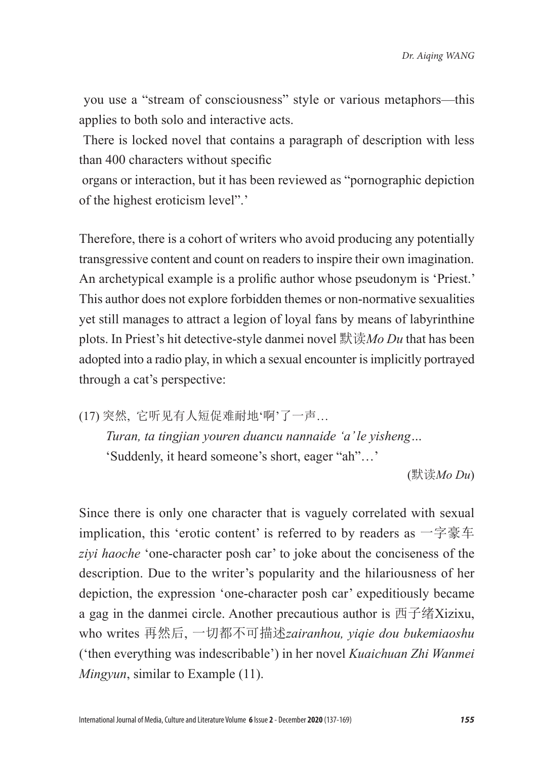you use a "stream of consciousness" style or various metaphors—this applies to both solo and interactive acts.

 There is locked novel that contains a paragraph of description with less than 400 characters without specific

 organs or interaction, but it has been reviewed as "pornographic depiction of the highest eroticism level".'

Therefore, there is a cohort of writers who avoid producing any potentially transgressive content and count on readers to inspire their own imagination. An archetypical example is a prolific author whose pseudonym is 'Priest.' This author does not explore forbidden themes or non-normative sexualities yet still manages to attract a legion of loyal fans by means of labyrinthine plots. In Priest's hit detective-style danmei novel 默读*Mo Du* that has been adopted into a radio play, in which a sexual encounter is implicitly portrayed through a cat's perspective:

(17) 突然, 它听见有人短促难耐地'啊'了一声…

 *Turan, ta tingjian youren duancu nannaide 'a' le yisheng…* 'Suddenly, it heard someone's short, eager "ah"…'

(默读*Mo Du*)

Since there is only one character that is vaguely correlated with sexual implication, this 'erotic content' is referred to by readers as 一字豪车 *ziyi haoche* 'one-character posh car' to joke about the conciseness of the description. Due to the writer's popularity and the hilariousness of her depiction, the expression 'one-character posh car' expeditiously became a gag in the danmei circle. Another precautious author is 西子绪Xizixu, who writes 再然后, 一切都不可描述*zairanhou, yiqie dou bukemiaoshu*  ('then everything was indescribable') in her novel *Kuaichuan Zhi Wanmei Mingyun*, similar to Example (11).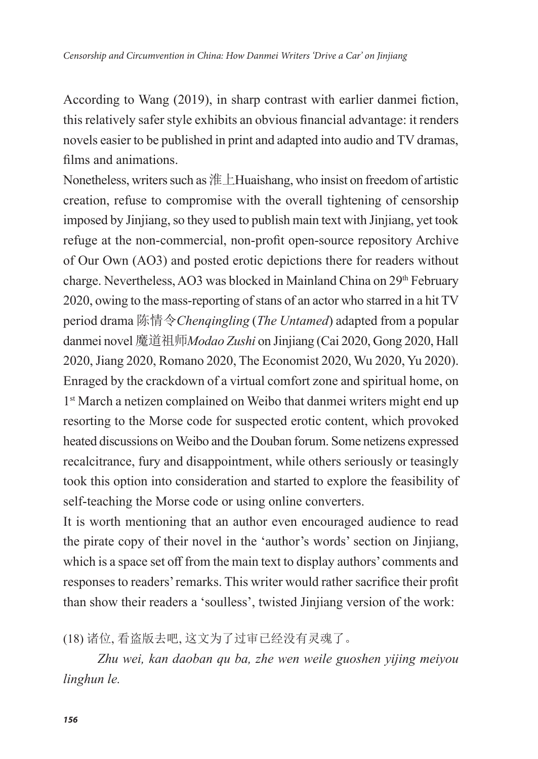According to Wang (2019), in sharp contrast with earlier danmei fiction, this relatively safer style exhibits an obvious financial advantage: it renders novels easier to be published in print and adapted into audio and TV dramas, films and animations.

Nonetheless, writers such as 淮上Huaishang, who insist on freedom of artistic creation, refuse to compromise with the overall tightening of censorship imposed by Jinjiang, so they used to publish main text with Jinjiang, yet took refuge at the non-commercial, non-profit open-source repository Archive of Our Own (AO3) and posted erotic depictions there for readers without charge. Nevertheless, AO3 was blocked in Mainland China on 29th February 2020, owing to the mass-reporting of stans of an actor who starred in a hit TV period drama 陈情令*Chenqingling* (*The Untamed*) adapted from a popular danmei novel 魔道祖师*Modao Zushi* on Jinjiang (Cai 2020, Gong 2020, Hall 2020, Jiang 2020, Romano 2020, The Economist 2020, Wu 2020, Yu 2020). Enraged by the crackdown of a virtual comfort zone and spiritual home, on 1<sup>st</sup> March a netizen complained on Weibo that danmei writers might end up resorting to the Morse code for suspected erotic content, which provoked heated discussions on Weibo and the Douban forum. Some netizens expressed recalcitrance, fury and disappointment, while others seriously or teasingly took this option into consideration and started to explore the feasibility of self-teaching the Morse code or using online converters.

It is worth mentioning that an author even encouraged audience to read the pirate copy of their novel in the 'author's words' section on Jinjiang, which is a space set off from the main text to display authors' comments and responses to readers' remarks. This writer would rather sacrifice their profit than show their readers a 'soulless', twisted Jinjiang version of the work:

(18) 诸位, 看盗版去吧, 这文为了过审已经没有灵魂了。

 *Zhu wei, kan daoban qu ba, zhe wen weile guoshen yijing meiyou linghun le.*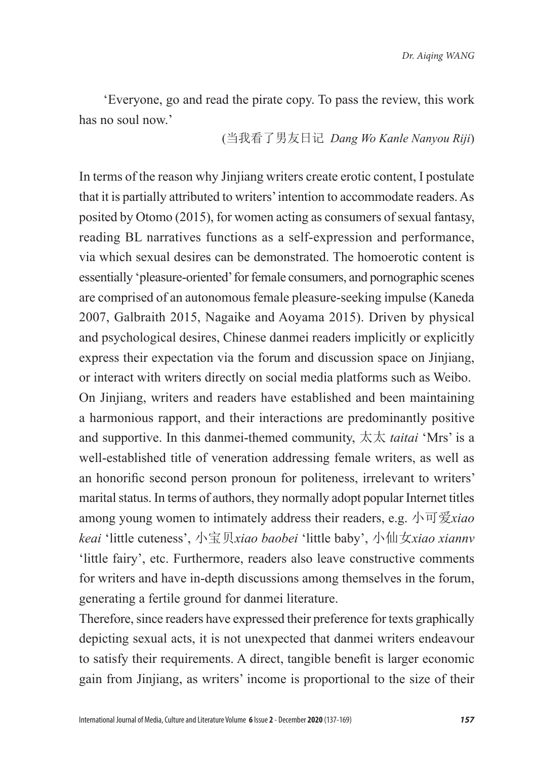'Everyone, go and read the pirate copy. To pass the review, this work has no soul now.'

(当我看了男友日记 *Dang Wo Kanle Nanyou Riji*)

In terms of the reason why Jinjiang writers create erotic content, I postulate that it is partially attributed to writers' intention to accommodate readers. As posited by Otomo (2015), for women acting as consumers of sexual fantasy, reading BL narratives functions as a self-expression and performance, via which sexual desires can be demonstrated. The homoerotic content is essentially 'pleasure-oriented' for female consumers, and pornographic scenes are comprised of an autonomous female pleasure-seeking impulse (Kaneda 2007, Galbraith 2015, Nagaike and Aoyama 2015). Driven by physical and psychological desires, Chinese danmei readers implicitly or explicitly express their expectation via the forum and discussion space on Jinjiang, or interact with writers directly on social media platforms such as Weibo. On Jinjiang, writers and readers have established and been maintaining a harmonious rapport, and their interactions are predominantly positive and supportive. In this danmei-themed community, 太太 *taitai* 'Mrs' is a well-established title of veneration addressing female writers, as well as an honorific second person pronoun for politeness, irrelevant to writers' marital status. In terms of authors, they normally adopt popular Internet titles among young women to intimately address their readers, e.g. 小可爱*xiao keai* 'little cuteness', 小宝贝*xiao baobei* 'little baby', 小仙女*xiao xiannv*  'little fairy', etc. Furthermore, readers also leave constructive comments for writers and have in-depth discussions among themselves in the forum, generating a fertile ground for danmei literature.

Therefore, since readers have expressed their preference for texts graphically depicting sexual acts, it is not unexpected that danmei writers endeavour to satisfy their requirements. A direct, tangible benefit is larger economic gain from Jinjiang, as writers' income is proportional to the size of their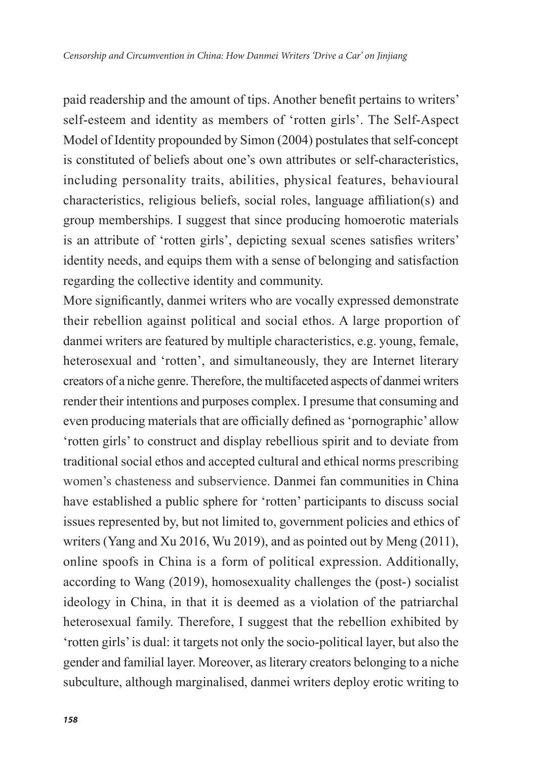paid readership and the amount of tips. Another benefit pertains to writers' self-esteem and identity as members of 'rotten girls'. The Self-Aspect Model of Identity propounded by Simon (2004) postulates that self-concept is constituted of beliefs about one's own attributes or self-characteristics, including personality traits, abilities, physical features, behavioural characteristics, religious beliefs, social roles, language affiliation(s) and group memberships. I suggest that since producing homoerotic materials is an attribute of 'rotten girls', depicting sexual scenes satisfies writers' identity needs, and equips them with a sense of belonging and satisfaction regarding the collective identity and community.

More significantly, danmei writers who are vocally expressed demonstrate their rebellion against political and social ethos. A large proportion of danmei writers are featured by multiple characteristics, e.g. young, female, heterosexual and 'rotten', and simultaneously, they are Internet literary creators of a niche genre. Therefore, the multifaceted aspects of danmei writers render their intentions and purposes complex. I presume that consuming and even producing materials that are officially defined as 'pornographic' allow 'rotten girls' to construct and display rebellious spirit and to deviate from traditional social ethos and accepted cultural and ethical norms prescribing women's chasteness and subservience. Danmei fan communities in China have established a public sphere for 'rotten' participants to discuss social issues represented by, but not limited to, government policies and ethics of writers (Yang and Xu 2016, Wu 2019), and as pointed out by Meng (2011), online spoofs in China is a form of political expression. Additionally, according to Wang (2019), homosexuality challenges the (post-) socialist ideology in China, in that it is deemed as a violation of the patriarchal heterosexual family. Therefore, I suggest that the rebellion exhibited by 'rotten girls' is dual: it targets not only the socio-political layer, but also the gender and familial layer. Moreover, as literary creators belonging to a niche subculture, although marginalised, danmei writers deploy erotic writing to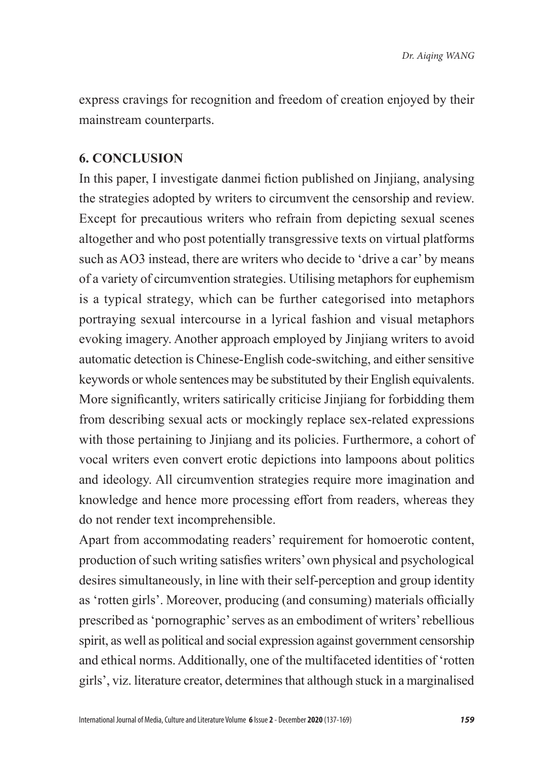express cravings for recognition and freedom of creation enjoyed by their mainstream counterparts.

#### **6. CONCLUSION**

In this paper, I investigate danmei fiction published on Jinjiang, analysing the strategies adopted by writers to circumvent the censorship and review. Except for precautious writers who refrain from depicting sexual scenes altogether and who post potentially transgressive texts on virtual platforms such as AO3 instead, there are writers who decide to 'drive a car' by means of a variety of circumvention strategies. Utilising metaphors for euphemism is a typical strategy, which can be further categorised into metaphors portraying sexual intercourse in a lyrical fashion and visual metaphors evoking imagery. Another approach employed by Jinjiang writers to avoid automatic detection is Chinese-English code-switching, and either sensitive keywords or whole sentences may be substituted by their English equivalents. More significantly, writers satirically criticise Jinjiang for forbidding them from describing sexual acts or mockingly replace sex-related expressions with those pertaining to Jinjiang and its policies. Furthermore, a cohort of vocal writers even convert erotic depictions into lampoons about politics and ideology. All circumvention strategies require more imagination and knowledge and hence more processing effort from readers, whereas they do not render text incomprehensible.

Apart from accommodating readers' requirement for homoerotic content, production of such writing satisfies writers' own physical and psychological desires simultaneously, in line with their self-perception and group identity as 'rotten girls'. Moreover, producing (and consuming) materials officially prescribed as 'pornographic' serves as an embodiment of writers' rebellious spirit, as well as political and social expression against government censorship and ethical norms. Additionally, one of the multifaceted identities of 'rotten girls', viz. literature creator, determines that although stuck in a marginalised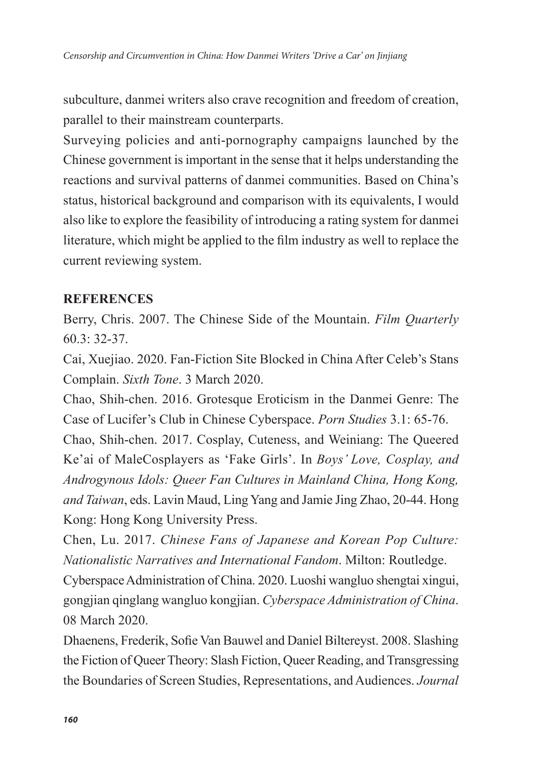subculture, danmei writers also crave recognition and freedom of creation, parallel to their mainstream counterparts.

Surveying policies and anti-pornography campaigns launched by the Chinese government is important in the sense that it helps understanding the reactions and survival patterns of danmei communities. Based on China's status, historical background and comparison with its equivalents, I would also like to explore the feasibility of introducing a rating system for danmei literature, which might be applied to the film industry as well to replace the current reviewing system.

#### **REFERENCES**

Berry, Chris. 2007. The Chinese Side of the Mountain. *Film Quarterly*  60.3: 32-37.

Cai, Xuejiao. 2020. Fan-Fiction Site Blocked in China After Celeb's Stans Complain. *Sixth Tone*. 3 March 2020.

Chao, Shih-chen. 2016. Grotesque Eroticism in the Danmei Genre: The Case of Lucifer's Club in Chinese Cyberspace. *Porn Studies* 3.1: 65-76.

Chao, Shih-chen. 2017. Cosplay, Cuteness, and Weiniang: The Queered Ke'ai of MaleCosplayers as 'Fake Girls'. In *Boys' Love, Cosplay, and Androgynous Idols: Queer Fan Cultures in Mainland China, Hong Kong, and Taiwan*, eds. Lavin Maud, Ling Yang and Jamie Jing Zhao, 20-44. Hong Kong: Hong Kong University Press.

Chen, Lu. 2017. *Chinese Fans of Japanese and Korean Pop Culture: Nationalistic Narratives and International Fandom*. Milton: Routledge.

Cyberspace Administration of China. 2020. Luoshi wangluo shengtai xingui, gongjian qinglang wangluo kongjian. *Cyberspace Administration of China*. 08 March 2020.

Dhaenens, Frederik, Sofie Van Bauwel and Daniel Biltereyst. 2008. Slashing the Fiction of Queer Theory: Slash Fiction, Queer Reading, and Transgressing the Boundaries of Screen Studies, Representations, and Audiences. *Journal*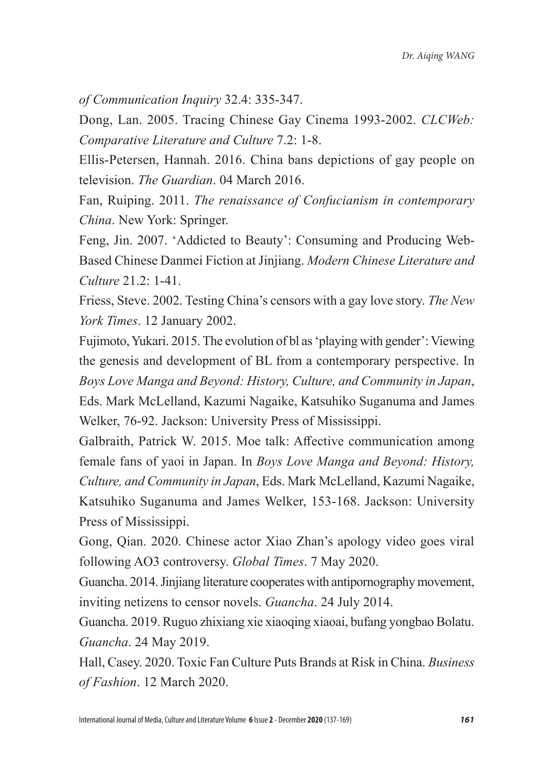*of Communication Inquiry* 32.4: 335-347.

Dong, Lan. 2005. Tracing Chinese Gay Cinema 1993-2002. *CLCWeb: Comparative Literature and Culture* 7.2: 1-8.

Ellis-Petersen, Hannah. 2016. China bans depictions of gay people on television. *The Guardian*. 04 March 2016.

Fan, Ruiping. 2011. *The renaissance of Confucianism in contemporary China*. New York: Springer.

Feng, Jin. 2007. 'Addicted to Beauty': Consuming and Producing Web-Based Chinese Danmei Fiction at Jinjiang. *Modern Chinese Literature and Culture* 21.2: 1-41.

Friess, Steve. 2002. Testing China's censors with a gay love story. *The New York Times*. 12 January 2002.

Fujimoto, Yukari. 2015. The evolution of bl as 'playing with gender': Viewing the genesis and development of BL from a contemporary perspective. In *Boys Love Manga and Beyond: History, Culture, and Community in Japan*, Eds. Mark McLelland, Kazumi Nagaike, Katsuhiko Suganuma and James Welker, 76-92. Jackson: University Press of Mississippi.

Galbraith, Patrick W. 2015. Moe talk: Affective communication among female fans of yaoi in Japan. In *Boys Love Manga and Beyond: History, Culture, and Community in Japan*, Eds. Mark McLelland, Kazumi Nagaike, Katsuhiko Suganuma and James Welker, 153-168. Jackson: University Press of Mississippi.

Gong, Qian. 2020. Chinese actor Xiao Zhan's apology video goes viral following AO3 controversy. *Global Times*. 7 May 2020.

Guancha. 2014. Jinjiang literature cooperates with antipornography movement, inviting netizens to censor novels. *Guancha*. 24 July 2014.

Guancha. 2019. Ruguo zhixiang xie xiaoqing xiaoai, bufang yongbao Bolatu. *Guancha*. 24 May 2019.

Hall, Casey. 2020. Toxic Fan Culture Puts Brands at Risk in China. *Business of Fashion*. 12 March 2020.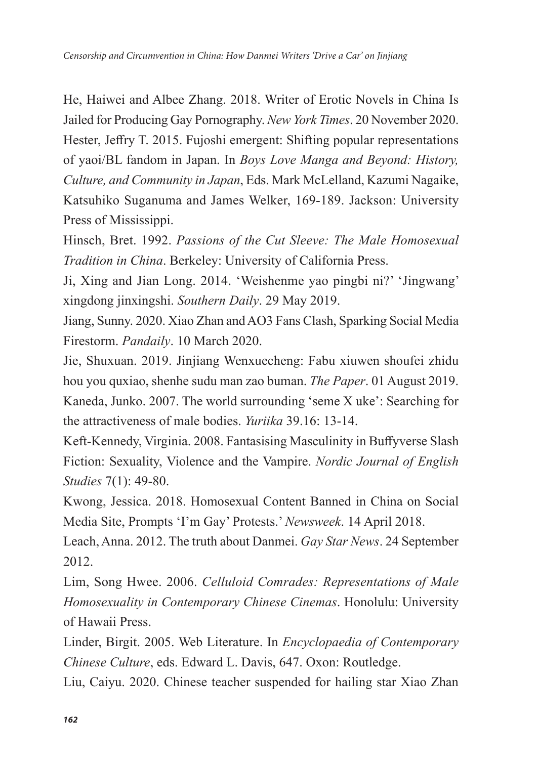He, Haiwei and Albee Zhang. 2018. Writer of Erotic Novels in China Is Jailed for Producing Gay Pornography. *New York Times*. 20 November 2020. Hester, Jeffry T. 2015. Fujoshi emergent: Shifting popular representations of yaoi/BL fandom in Japan. In *Boys Love Manga and Beyond: History, Culture, and Community in Japan*, Eds. Mark McLelland, Kazumi Nagaike, Katsuhiko Suganuma and James Welker, 169-189. Jackson: University Press of Mississippi.

Hinsch, Bret. 1992. *Passions of the Cut Sleeve: The Male Homosexual Tradition in China*. Berkeley: University of California Press.

Ji, Xing and Jian Long. 2014. 'Weishenme yao pingbi ni?' 'Jingwang' xingdong jinxingshi. *Southern Daily*. 29 May 2019.

Jiang, Sunny. 2020. Xiao Zhan and AO3 Fans Clash, Sparking Social Media Firestorm. *Pandaily*. 10 March 2020.

Jie, Shuxuan. 2019. Jinjiang Wenxuecheng: Fabu xiuwen shoufei zhidu hou you quxiao, shenhe sudu man zao buman. *The Paper*. 01 August 2019. Kaneda, Junko. 2007. The world surrounding 'seme X uke': Searching for the attractiveness of male bodies. *Yuriika* 39.16: 13-14.

Keft-Kennedy, Virginia. 2008. Fantasising Masculinity in Buffyverse Slash Fiction: Sexuality, Violence and the Vampire. *Nordic Journal of English Studies* 7(1): 49-80.

Kwong, Jessica. 2018. Homosexual Content Banned in China on Social Media Site, Prompts 'I'm Gay' Protests.' *Newsweek*. 14 April 2018.

Leach, Anna. 2012. The truth about Danmei. *Gay Star News*. 24 September 2012.

Lim, Song Hwee. 2006. *Celluloid Comrades: Representations of Male Homosexuality in Contemporary Chinese Cinemas*. Honolulu: University of Hawaii Press.

Linder, Birgit. 2005. Web Literature. In *Encyclopaedia of Contemporary Chinese Culture*, eds. Edward L. Davis, 647. Oxon: Routledge.

Liu, Caiyu. 2020. Chinese teacher suspended for hailing star Xiao Zhan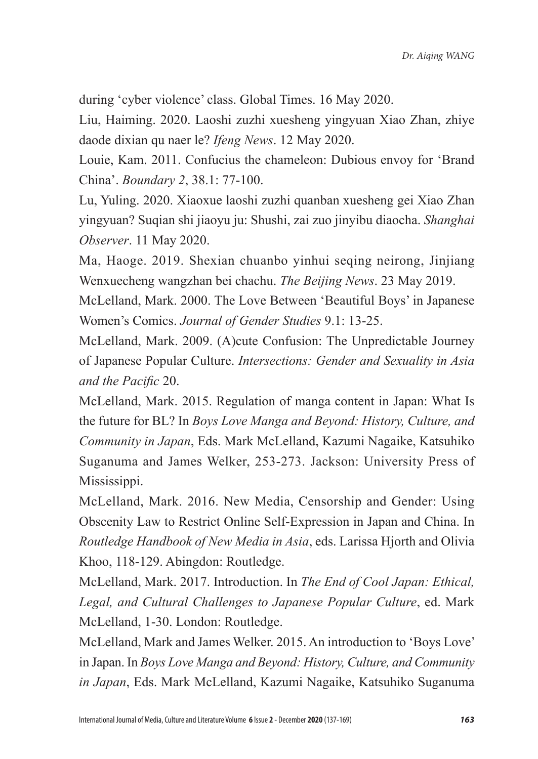during 'cyber violence' class. Global Times. 16 May 2020.

Liu, Haiming. 2020. Laoshi zuzhi xuesheng yingyuan Xiao Zhan, zhiye daode dixian qu naer le? *Ifeng News*. 12 May 2020.

Louie, Kam. 2011. Confucius the chameleon: Dubious envoy for 'Brand China'. *Boundary 2*, 38.1: 77-100.

Lu, Yuling. 2020. Xiaoxue laoshi zuzhi quanban xuesheng gei Xiao Zhan yingyuan? Suqian shi jiaoyu ju: Shushi, zai zuo jinyibu diaocha. *Shanghai Observer*. 11 May 2020.

Ma, Haoge. 2019. Shexian chuanbo yinhui seqing neirong, Jinjiang Wenxuecheng wangzhan bei chachu. *The Beijing News*. 23 May 2019.

McLelland, Mark. 2000. The Love Between 'Beautiful Boys' in Japanese Women's Comics. *Journal of Gender Studies* 9.1: 13-25.

McLelland, Mark. 2009. (A)cute Confusion: The Unpredictable Journey of Japanese Popular Culture. *Intersections: Gender and Sexuality in Asia and the Pacific* 20.

McLelland, Mark. 2015. Regulation of manga content in Japan: What Is the future for BL? In *Boys Love Manga and Beyond: History, Culture, and Community in Japan*, Eds. Mark McLelland, Kazumi Nagaike, Katsuhiko Suganuma and James Welker, 253-273. Jackson: University Press of Mississippi.

McLelland, Mark. 2016. New Media, Censorship and Gender: Using Obscenity Law to Restrict Online Self-Expression in Japan and China. In *Routledge Handbook of New Media in Asia*, eds. Larissa Hjorth and Olivia Khoo, 118-129. Abingdon: Routledge.

McLelland, Mark. 2017. Introduction. In *The End of Cool Japan: Ethical, Legal, and Cultural Challenges to Japanese Popular Culture*, ed. Mark McLelland, 1-30. London: Routledge.

McLelland, Mark and James Welker. 2015. An introduction to 'Boys Love' in Japan. In *Boys Love Manga and Beyond: History, Culture, and Community in Japan*, Eds. Mark McLelland, Kazumi Nagaike, Katsuhiko Suganuma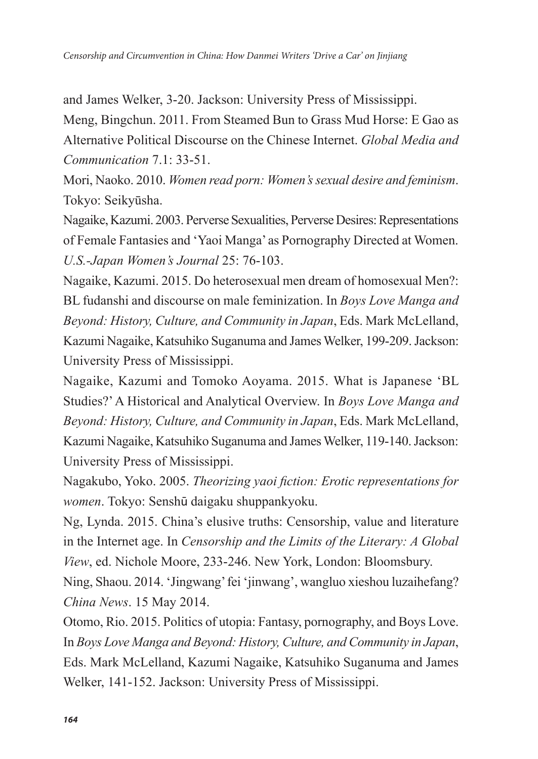and James Welker, 3-20. Jackson: University Press of Mississippi.

Meng, Bingchun. 2011. From Steamed Bun to Grass Mud Horse: E Gao as Alternative Political Discourse on the Chinese Internet. *Global Media and Communication* 7.1: 33-51.

Mori, Naoko. 2010. *Women read porn: Women's sexual desire and feminism*. Tokyo: Seikyūsha.

Nagaike, Kazumi. 2003. Perverse Sexualities, Perverse Desires: Representations of Female Fantasies and 'Yaoi Manga' as Pornography Directed at Women. *U.S.-Japan Women's Journal* 25: 76-103.

Nagaike, Kazumi. 2015. Do heterosexual men dream of homosexual Men?: BL fudanshi and discourse on male feminization. In *Boys Love Manga and Beyond: History, Culture, and Community in Japan*, Eds. Mark McLelland, Kazumi Nagaike, Katsuhiko Suganuma and James Welker, 199-209. Jackson: University Press of Mississippi.

Nagaike, Kazumi and Tomoko Aoyama. 2015. What is Japanese 'BL Studies?' A Historical and Analytical Overview. In *Boys Love Manga and Beyond: History, Culture, and Community in Japan*, Eds. Mark McLelland, Kazumi Nagaike, Katsuhiko Suganuma and James Welker, 119-140. Jackson: University Press of Mississippi.

Nagakubo, Yoko. 2005. *Theorizing yaoi fiction: Erotic representations for women*. Tokyo: Senshū daigaku shuppankyoku.

Ng, Lynda. 2015. China's elusive truths: Censorship, value and literature in the Internet age. In *Censorship and the Limits of the Literary: A Global View*, ed. Nichole Moore, 233-246. New York, London: Bloomsbury.

Ning, Shaou. 2014. 'Jingwang' fei 'jinwang', wangluo xieshou luzaihefang? *China News*. 15 May 2014.

Otomo, Rio. 2015. Politics of utopia: Fantasy, pornography, and Boys Love. In *Boys Love Manga and Beyond: History, Culture, and Community in Japan*, Eds. Mark McLelland, Kazumi Nagaike, Katsuhiko Suganuma and James Welker, 141-152. Jackson: University Press of Mississippi.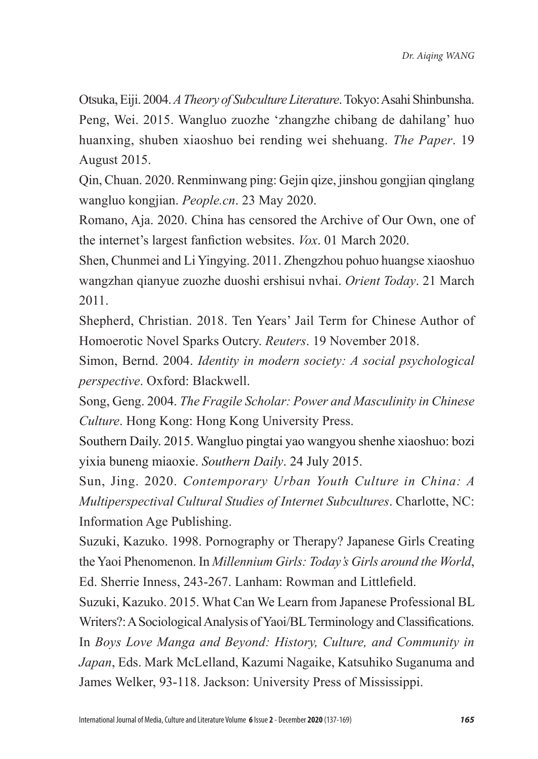Otsuka, Eiji. 2004. *A Theory of Subculture Literature*. Tokyo: Asahi Shinbunsha. Peng, Wei. 2015. Wangluo zuozhe 'zhangzhe chibang de dahilang' huo huanxing, shuben xiaoshuo bei rending wei shehuang. *The Paper*. 19 August 2015.

Qin, Chuan. 2020. Renminwang ping: Gejin qize, jinshou gongjian qinglang wangluo kongjian. *People.cn*. 23 May 2020.

Romano, Aja. 2020. China has censored the Archive of Our Own, one of the internet's largest fanfiction websites. *Vox*. 01 March 2020.

Shen, Chunmei and Li Yingying. 2011. Zhengzhou pohuo huangse xiaoshuo wangzhan qianyue zuozhe duoshi ershisui nvhai. *Orient Today*. 21 March 2011.

Shepherd, Christian. 2018. Ten Years' Jail Term for Chinese Author of Homoerotic Novel Sparks Outcry. *Reuters*. 19 November 2018.

Simon, Bernd. 2004. *Identity in modern society: A social psychological perspective*. Oxford: Blackwell.

Song, Geng. 2004. *The Fragile Scholar: Power and Masculinity in Chinese Culture*. Hong Kong: Hong Kong University Press.

Southern Daily. 2015. Wangluo pingtai yao wangyou shenhe xiaoshuo: bozi yixia buneng miaoxie. *Southern Daily*. 24 July 2015.

Sun, Jing. 2020. *Contemporary Urban Youth Culture in China: A Multiperspectival Cultural Studies of Internet Subcultures*. Charlotte, NC: Information Age Publishing.

Suzuki, Kazuko. 1998. Pornography or Therapy? Japanese Girls Creating the Yaoi Phenomenon. In *Millennium Girls: Today's Girls around the World*, Ed. Sherrie Inness, 243-267. Lanham: Rowman and Littlefield.

Suzuki, Kazuko. 2015. What Can We Learn from Japanese Professional BL Writers?: A Sociological Analysis of Yaoi/BL Terminology and Classifications. In *Boys Love Manga and Beyond: History, Culture, and Community in Japan*, Eds. Mark McLelland, Kazumi Nagaike, Katsuhiko Suganuma and James Welker, 93-118. Jackson: University Press of Mississippi.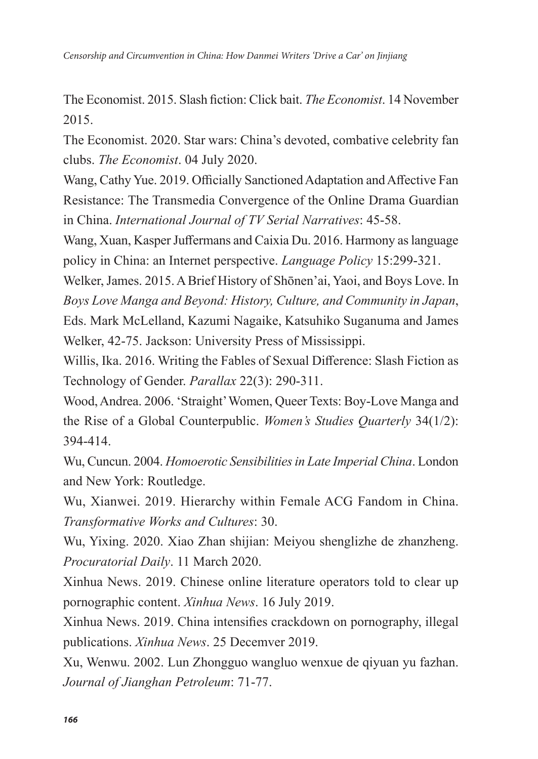The Economist. 2015. Slash fiction: Click bait. *The Economist*. 14 November 2015.

The Economist. 2020. Star wars: China's devoted, combative celebrity fan clubs. *The Economist*. 04 July 2020.

Wang, Cathy Yue. 2019. Officially Sanctioned Adaptation and Affective Fan Resistance: The Transmedia Convergence of the Online Drama Guardian in China. *International Journal of TV Serial Narratives*: 45-58.

Wang, Xuan, Kasper Juffermans and Caixia Du. 2016. Harmony as language policy in China: an Internet perspective. *Language Policy* 15:299-321.

Welker, James. 2015. A Brief History of Shōnen'ai, Yaoi, and Boys Love. In *Boys Love Manga and Beyond: History, Culture, and Community in Japan*, Eds. Mark McLelland, Kazumi Nagaike, Katsuhiko Suganuma and James Welker, 42-75. Jackson: University Press of Mississippi.

Willis, Ika. 2016. Writing the Fables of Sexual Difference: Slash Fiction as Technology of Gender. *Parallax* 22(3): 290-311.

Wood, Andrea. 2006. 'Straight' Women, Queer Texts: Boy-Love Manga and the Rise of a Global Counterpublic. *Women's Studies Quarterly* 34(1/2): 394-414.

Wu, Cuncun. 2004. *Homoerotic Sensibilities in Late Imperial China*. London and New York: Routledge.

Wu, Xianwei. 2019. Hierarchy within Female ACG Fandom in China. *Transformative Works and Cultures*: 30.

Wu, Yixing. 2020. Xiao Zhan shijian: Meiyou shenglizhe de zhanzheng. *Procuratorial Daily*. 11 March 2020.

Xinhua News. 2019. Chinese online literature operators told to clear up pornographic content. *Xinhua News*. 16 July 2019.

Xinhua News. 2019. China intensifies crackdown on pornography, illegal publications. *Xinhua News*. 25 Decemver 2019.

Xu, Wenwu. 2002. Lun Zhongguo wangluo wenxue de qiyuan yu fazhan. *Journal of Jianghan Petroleum*: 71-77.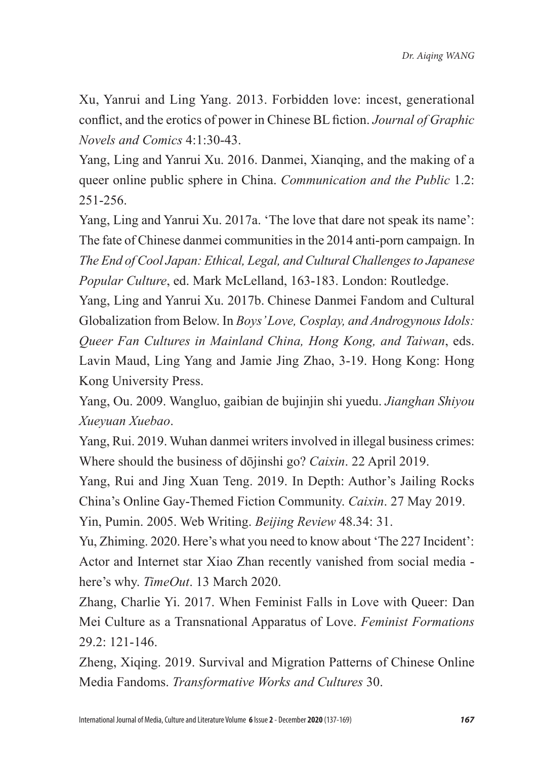Xu, Yanrui and Ling Yang. 2013. Forbidden love: incest, generational conflict, and the erotics of power in Chinese BL fiction. *Journal of Graphic Novels and Comics* 4:1:30-43.

Yang, Ling and Yanrui Xu. 2016. Danmei, Xianqing, and the making of a queer online public sphere in China. *Communication and the Public* 1.2: 251-256.

Yang, Ling and Yanrui Xu. 2017a. 'The love that dare not speak its name': The fate of Chinese danmei communities in the 2014 anti-porn campaign. In *The End of Cool Japan: Ethical, Legal, and Cultural Challenges to Japanese Popular Culture*, ed. Mark McLelland, 163-183. London: Routledge.

Yang, Ling and Yanrui Xu. 2017b. Chinese Danmei Fandom and Cultural Globalization from Below. In *Boys' Love, Cosplay, and Androgynous Idols: Queer Fan Cultures in Mainland China, Hong Kong, and Taiwan*, eds. Lavin Maud, Ling Yang and Jamie Jing Zhao, 3-19. Hong Kong: Hong Kong University Press.

Yang, Ou. 2009. Wangluo, gaibian de bujinjin shi yuedu. *Jianghan Shiyou Xueyuan Xuebao*.

Yang, Rui. 2019. Wuhan danmei writers involved in illegal business crimes: Where should the business of dōjinshi go? *Caixin*. 22 April 2019.

Yang, Rui and Jing Xuan Teng. 2019. In Depth: Author's Jailing Rocks China's Online Gay-Themed Fiction Community. *Caixin*. 27 May 2019.

Yin, Pumin. 2005. Web Writing. *Beijing Review* 48.34: 31.

Yu, Zhiming. 2020. Here's what you need to know about 'The 227 Incident': Actor and Internet star Xiao Zhan recently vanished from social media here's why. *TimeOut*. 13 March 2020.

Zhang, Charlie Yi. 2017. When Feminist Falls in Love with Queer: Dan Mei Culture as a Transnational Apparatus of Love. *Feminist Formations*   $29.2: 121 - 146.$ 

Zheng, Xiqing. 2019. Survival and Migration Patterns of Chinese Online Media Fandoms. *Transformative Works and Cultures* 30.